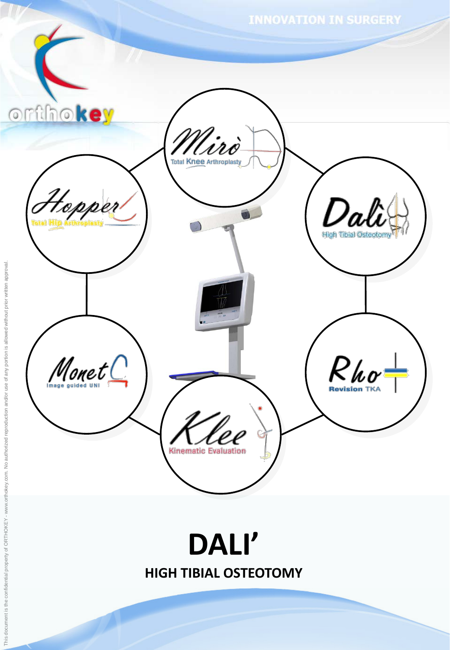